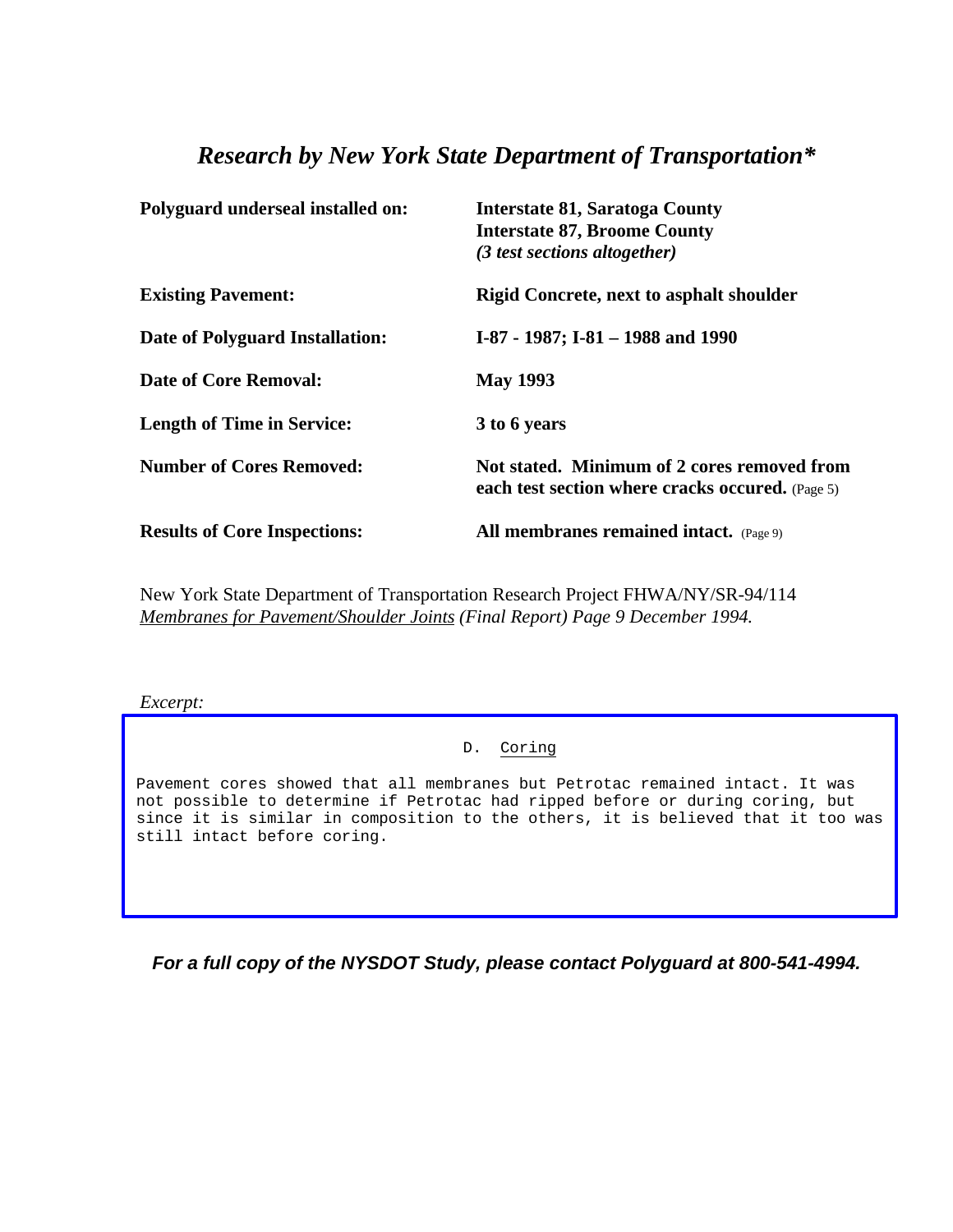## *Research by New York State Department of Transportation\**

| Polyguard underseal installed on:   | <b>Interstate 81, Saratoga County</b><br><b>Interstate 87, Broome County</b><br>(3 test sections altogether) |
|-------------------------------------|--------------------------------------------------------------------------------------------------------------|
| <b>Existing Pavement:</b>           | <b>Rigid Concrete, next to asphalt shoulder</b>                                                              |
| Date of Polyguard Installation:     | I-87 - 1987; I-81 - 1988 and 1990                                                                            |
| Date of Core Removal:               | <b>May 1993</b>                                                                                              |
| <b>Length of Time in Service:</b>   | 3 to 6 years                                                                                                 |
| <b>Number of Cores Removed:</b>     | Not stated. Minimum of 2 cores removed from<br>each test section where cracks occured. (Page 5)              |
| <b>Results of Core Inspections:</b> | All membranes remained intact. (Page 9)                                                                      |

New York State Department of Transportation Research Project FHWA/NY/SR-94/114 *Membranes for Pavement/Shoulder Joints (Final Report) Page 9 December 1994.*

*Excerpt:*

## D. Coring

Pavement cores showed that all membranes but Petrotac remained intact. It was not possible to determine if Petrotac had ripped before or during coring, but since it is similar in composition to the others, it is believed that it too was still intact before coring.

*For a full copy of the NYSDOT Study, please contact Polyguard at 800-541-4994.*